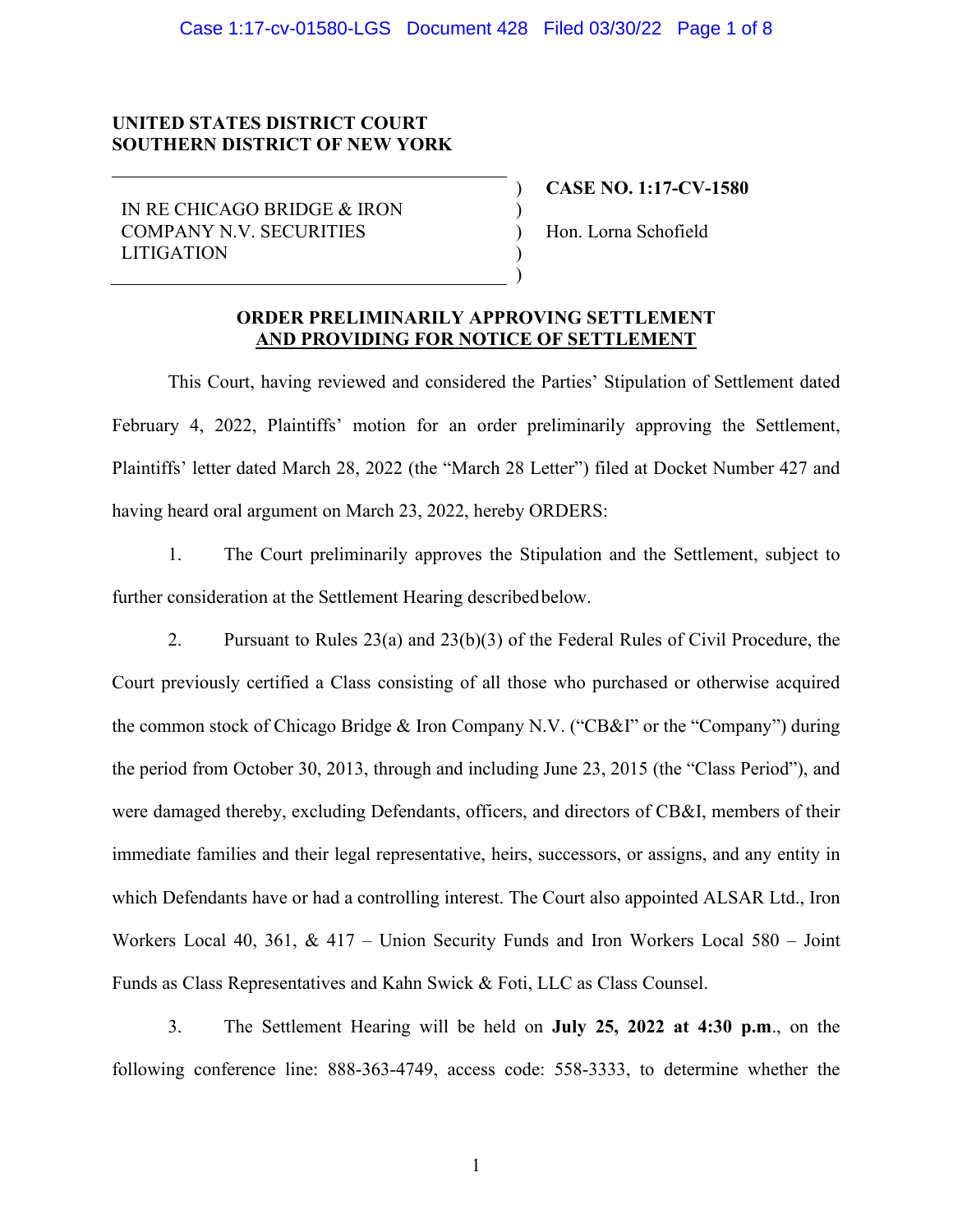## **UNITED STATES DISTRICT COURT SOUTHERN DISTRICT OF NEW YORK**

IN RE CHICAGO BRIDGE & IRON COMPANY N.V. SECURITIES LITIGATION

**CASE NO. 1:17-CV-1580**

Hon. Lorna Schofield

### **ORDER PRELIMINARILY APPROVING SETTLEMENT AND PROVIDING FOR NOTICE OF SETTLEMENT**

) ) ) ) )

This Court, having reviewed and considered the Parties' Stipulation of Settlement dated February 4, 2022, Plaintiffs' motion for an order preliminarily approving the Settlement, Plaintiffs' letter dated March 28, 2022 (the "March 28 Letter") filed at Docket Number 427 and having heard oral argument on March 23, 2022, hereby ORDERS:

1. The Court preliminarily approves the Stipulation and the Settlement, subject to further consideration at the Settlement Hearing describedbelow.

2. Pursuant to Rules 23(a) and 23(b)(3) of the Federal Rules of Civil Procedure, the Court previously certified a Class consisting of all those who purchased or otherwise acquired the common stock of Chicago Bridge & Iron Company N.V. ("CB&I" or the "Company") during the period from October 30, 2013, through and including June 23, 2015 (the "Class Period"), and were damaged thereby, excluding Defendants, officers, and directors of CB&I, members of their immediate families and their legal representative, heirs, successors, or assigns, and any entity in which Defendants have or had a controlling interest. The Court also appointed ALSAR Ltd., Iron Workers Local 40, 361, & 417 – Union Security Funds and Iron Workers Local 580 – Joint Funds as Class Representatives and Kahn Swick & Foti, LLC as Class Counsel.

3. The Settlement Hearing will be held on **July 25, 2022 at 4:30 p.m**., on the following conference line: 888-363-4749, access code: 558-3333, to determine whether the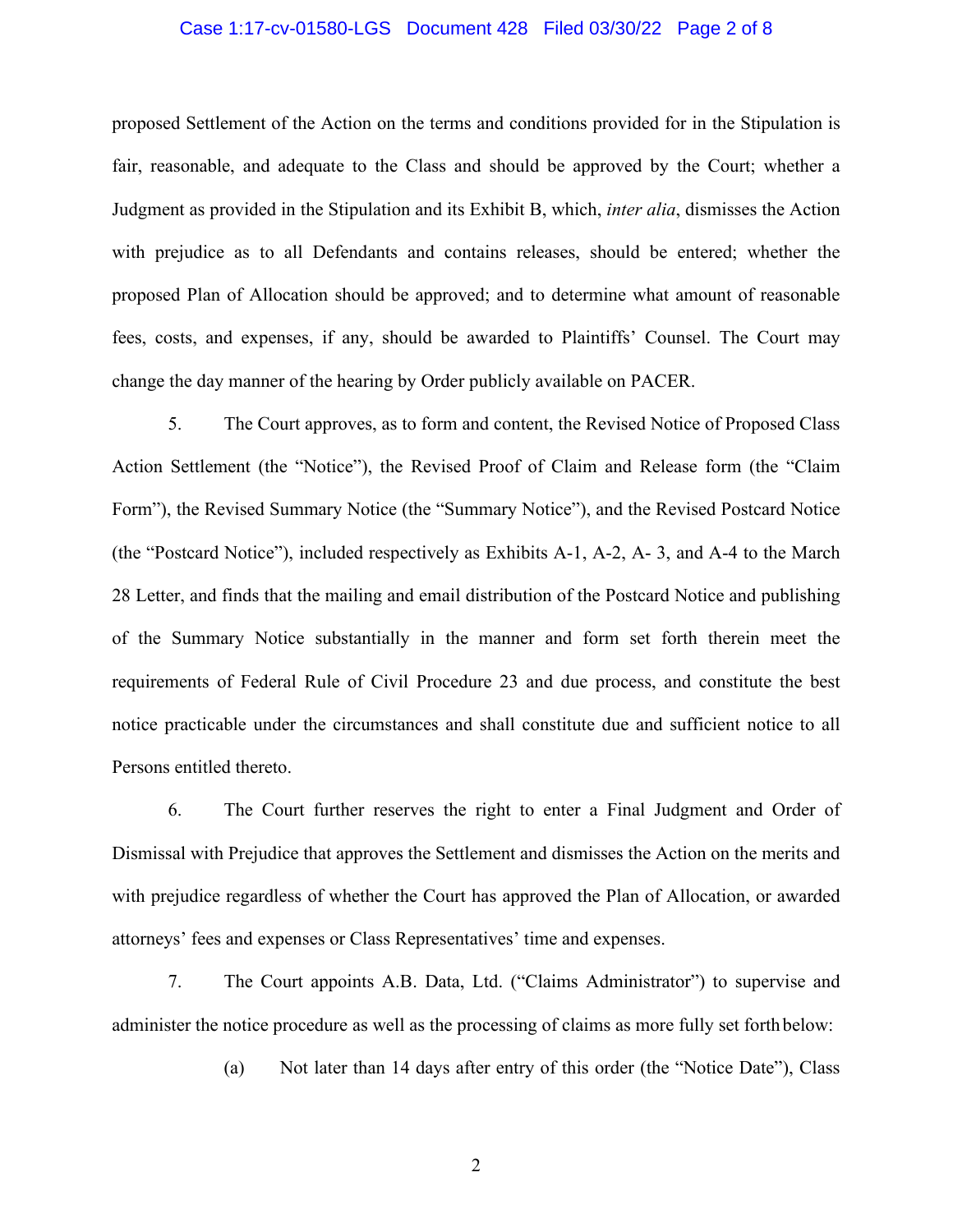#### Case 1:17-cv-01580-LGS Document 428 Filed 03/30/22 Page 2 of 8

proposed Settlement of the Action on the terms and conditions provided for in the Stipulation is fair, reasonable, and adequate to the Class and should be approved by the Court; whether a Judgment as provided in the Stipulation and its Exhibit B, which, *inter alia*, dismisses the Action with prejudice as to all Defendants and contains releases, should be entered; whether the proposed Plan of Allocation should be approved; and to determine what amount of reasonable fees, costs, and expenses, if any, should be awarded to Plaintiffs' Counsel. The Court may change the day manner of the hearing by Order publicly available on PACER.

5. The Court approves, as to form and content, the Revised Notice of Proposed Class Action Settlement (the "Notice"), the Revised Proof of Claim and Release form (the "Claim Form"), the Revised Summary Notice (the "Summary Notice"), and the Revised Postcard Notice (the "Postcard Notice"), included respectively as Exhibits A-1, A-2, A- 3, and A-4 to the March 28 Letter, and finds that the mailing and email distribution of the Postcard Notice and publishing of the Summary Notice substantially in the manner and form set forth therein meet the requirements of Federal Rule of Civil Procedure 23 and due process, and constitute the best notice practicable under the circumstances and shall constitute due and sufficient notice to all Persons entitled thereto.

6. The Court further reserves the right to enter a Final Judgment and Order of Dismissal with Prejudice that approves the Settlement and dismisses the Action on the merits and with prejudice regardless of whether the Court has approved the Plan of Allocation, or awarded attorneys' fees and expenses or Class Representatives' time and expenses.

7. The Court appoints A.B. Data, Ltd. ("Claims Administrator") to supervise and administer the notice procedure as well as the processing of claims as more fully set forth below:

(a) Not later than 14 days after entry of this order (the "Notice Date"), Class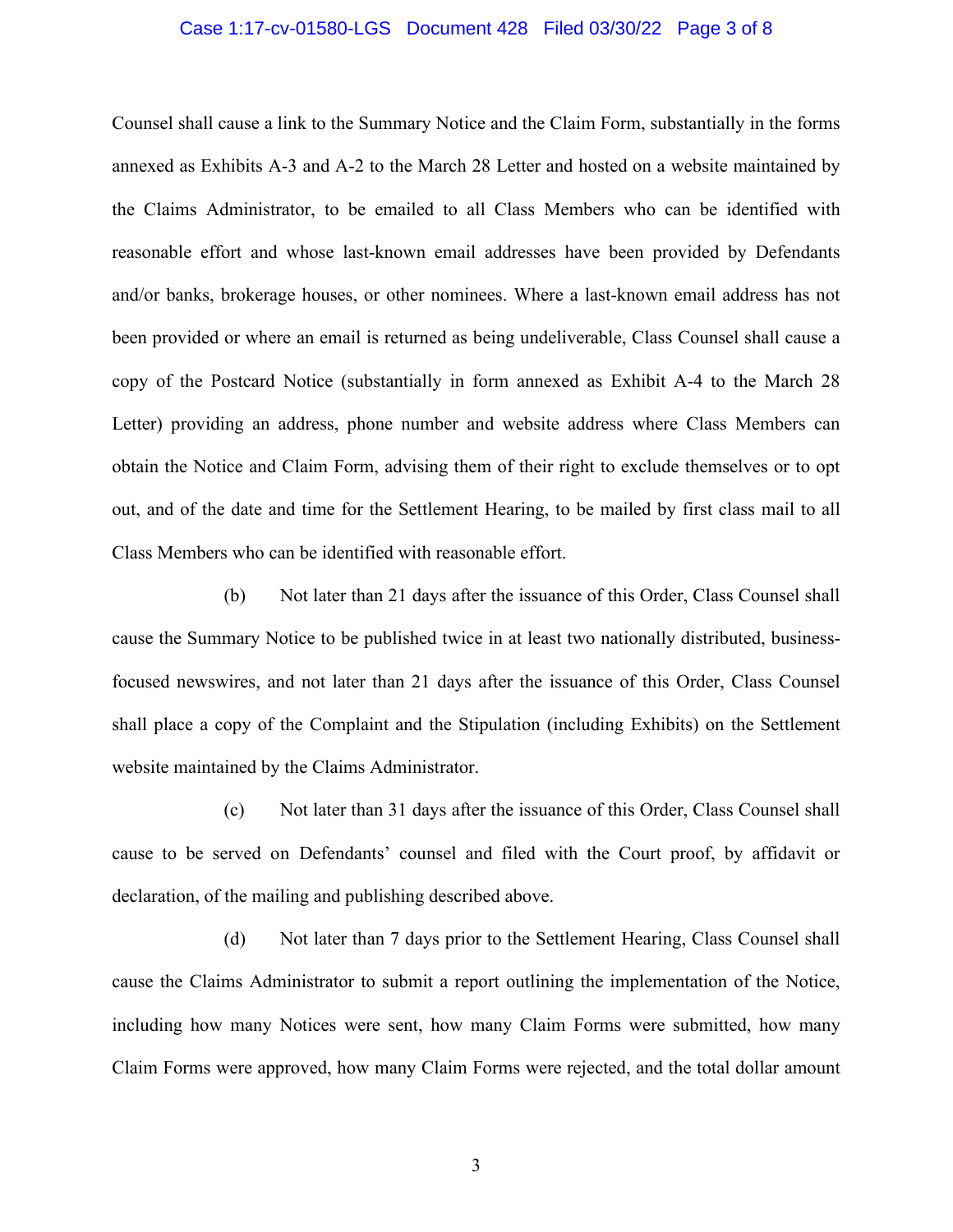#### Case 1:17-cv-01580-LGS Document 428 Filed 03/30/22 Page 3 of 8

Counsel shall cause a link to the Summary Notice and the Claim Form, substantially in the forms annexed as Exhibits A-3 and A-2 to the March 28 Letter and hosted on a website maintained by the Claims Administrator, to be emailed to all Class Members who can be identified with reasonable effort and whose last-known email addresses have been provided by Defendants and/or banks, brokerage houses, or other nominees. Where a last-known email address has not been provided or where an email is returned as being undeliverable, Class Counsel shall cause a copy of the Postcard Notice (substantially in form annexed as Exhibit A-4 to the March 28 Letter) providing an address, phone number and website address where Class Members can obtain the Notice and Claim Form, advising them of their right to exclude themselves or to opt out, and of the date and time for the Settlement Hearing, to be mailed by first class mail to all Class Members who can be identified with reasonable effort.

(b) Not later than 21 days after the issuance of this Order, Class Counsel shall cause the Summary Notice to be published twice in at least two nationally distributed, businessfocused newswires, and not later than 21 days after the issuance of this Order, Class Counsel shall place a copy of the Complaint and the Stipulation (including Exhibits) on the Settlement website maintained by the Claims Administrator.

(c) Not later than 31 days after the issuance of this Order, Class Counsel shall cause to be served on Defendants' counsel and filed with the Court proof, by affidavit or declaration, of the mailing and publishing described above.

(d) Not later than 7 days prior to the Settlement Hearing, Class Counsel shall cause the Claims Administrator to submit a report outlining the implementation of the Notice, including how many Notices were sent, how many Claim Forms were submitted, how many Claim Forms were approved, how many Claim Forms were rejected, and the total dollar amount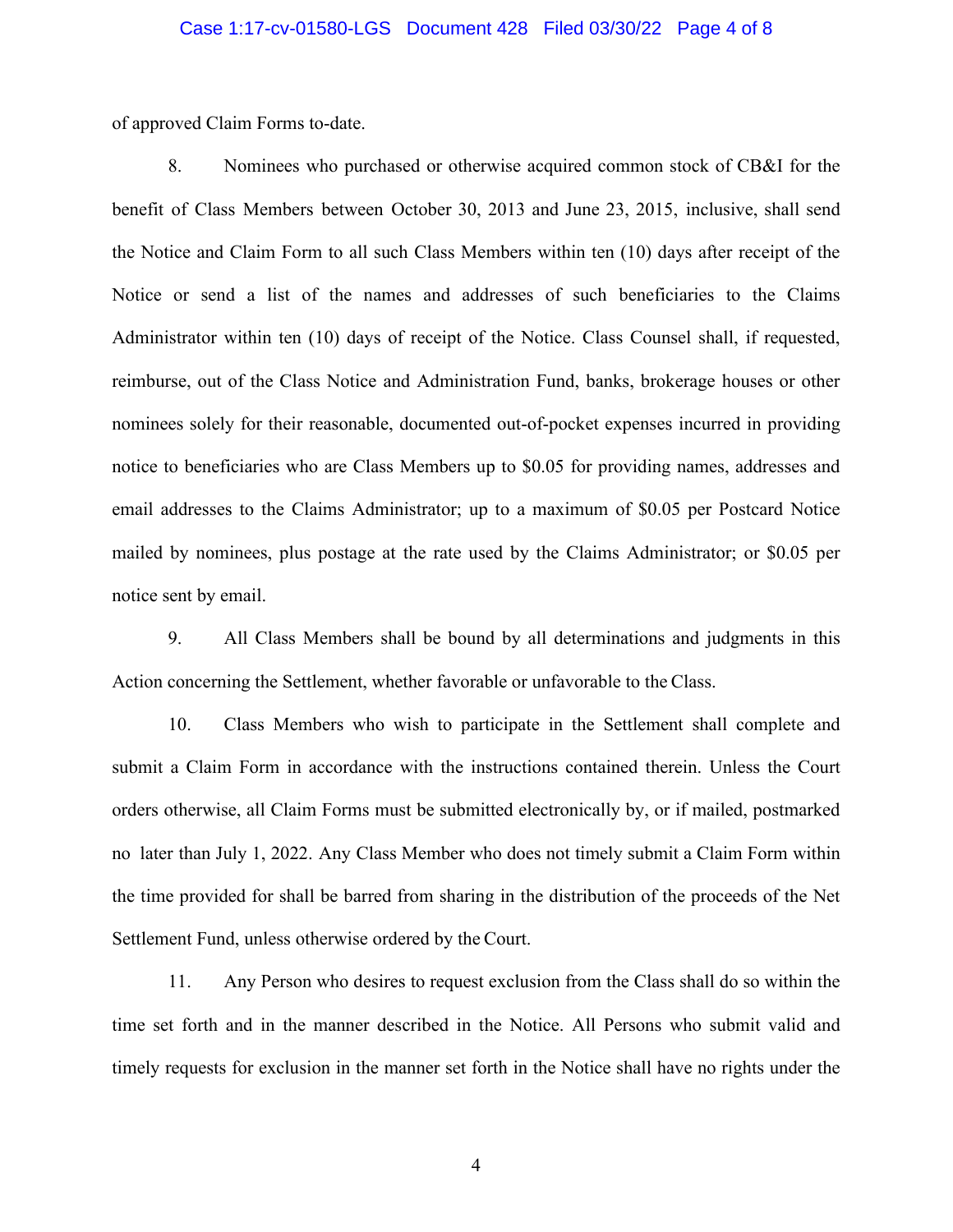of approved Claim Forms to-date.

8. Nominees who purchased or otherwise acquired common stock of CB&I for the benefit of Class Members between October 30, 2013 and June 23, 2015, inclusive, shall send the Notice and Claim Form to all such Class Members within ten (10) days after receipt of the Notice or send a list of the names and addresses of such beneficiaries to the Claims Administrator within ten (10) days of receipt of the Notice. Class Counsel shall, if requested, reimburse, out of the Class Notice and Administration Fund, banks, brokerage houses or other nominees solely for their reasonable, documented out-of-pocket expenses incurred in providing notice to beneficiaries who are Class Members up to \$0.05 for providing names, addresses and email addresses to the Claims Administrator; up to a maximum of \$0.05 per Postcard Notice mailed by nominees, plus postage at the rate used by the Claims Administrator; or \$0.05 per notice sent by email.

9. All Class Members shall be bound by all determinations and judgments in this Action concerning the Settlement, whether favorable or unfavorable to the Class.

10. Class Members who wish to participate in the Settlement shall complete and submit a Claim Form in accordance with the instructions contained therein. Unless the Court orders otherwise, all Claim Forms must be submitted electronically by, or if mailed, postmarked no later than July 1, 2022. Any Class Member who does not timely submit a Claim Form within the time provided for shall be barred from sharing in the distribution of the proceeds of the Net Settlement Fund, unless otherwise ordered by the Court.

11. Any Person who desires to request exclusion from the Class shall do so within the time set forth and in the manner described in the Notice. All Persons who submit valid and timely requests for exclusion in the manner set forth in the Notice shall have no rights under the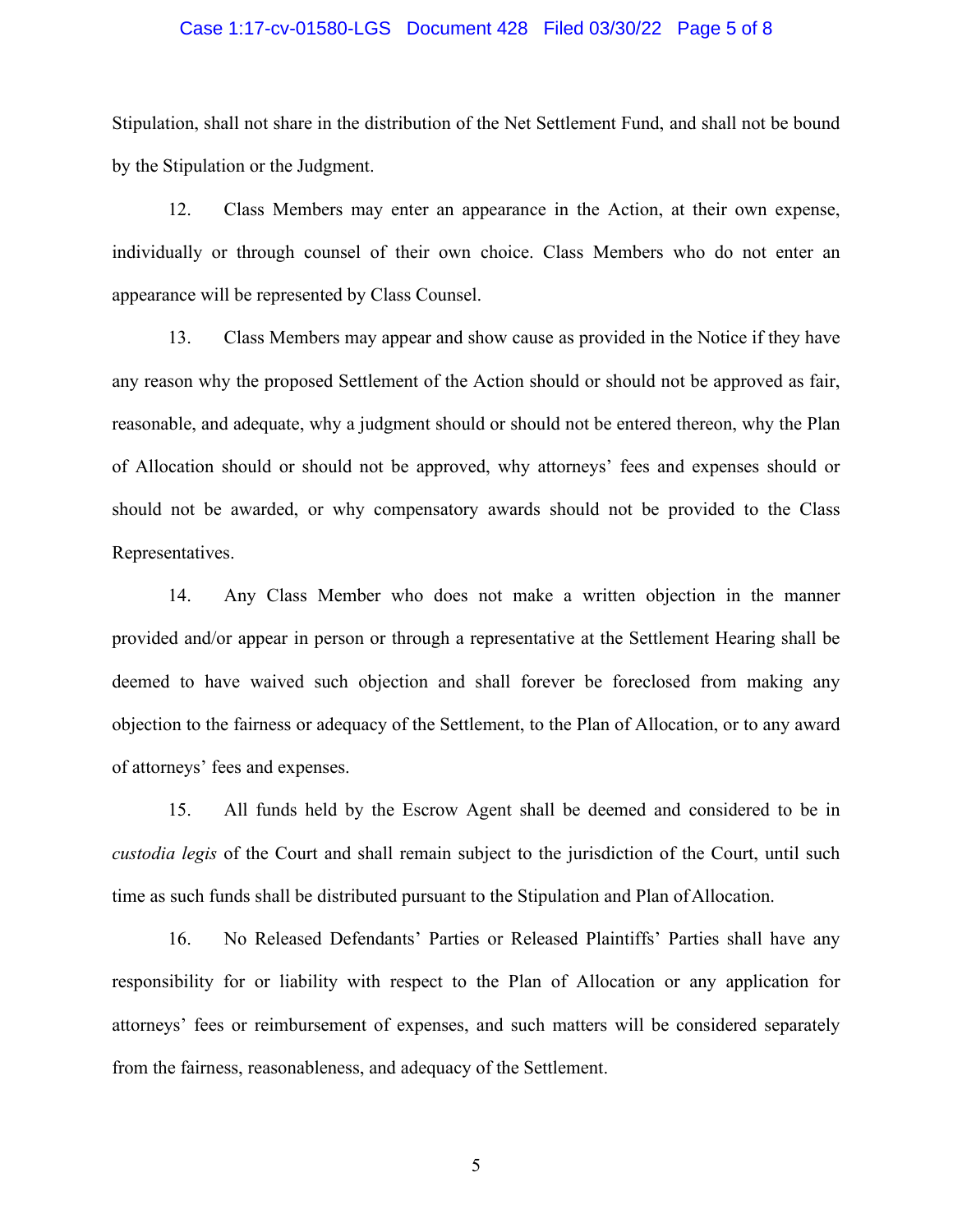#### Case 1:17-cv-01580-LGS Document 428 Filed 03/30/22 Page 5 of 8

Stipulation, shall not share in the distribution of the Net Settlement Fund, and shall not be bound by the Stipulation or the Judgment.

12. Class Members may enter an appearance in the Action, at their own expense, individually or through counsel of their own choice. Class Members who do not enter an appearance will be represented by Class Counsel.

13. Class Members may appear and show cause as provided in the Notice if they have any reason why the proposed Settlement of the Action should or should not be approved as fair, reasonable, and adequate, why a judgment should or should not be entered thereon, why the Plan of Allocation should or should not be approved, why attorneys' fees and expenses should or should not be awarded, or why compensatory awards should not be provided to the Class Representatives.

14. Any Class Member who does not make a written objection in the manner provided and/or appear in person or through a representative at the Settlement Hearing shall be deemed to have waived such objection and shall forever be foreclosed from making any objection to the fairness or adequacy of the Settlement, to the Plan of Allocation, or to any award of attorneys' fees and expenses.

15. All funds held by the Escrow Agent shall be deemed and considered to be in *custodia legis* of the Court and shall remain subject to the jurisdiction of the Court, until such time as such funds shall be distributed pursuant to the Stipulation and Plan of Allocation.

16. No Released Defendants' Parties or Released Plaintiffs' Parties shall have any responsibility for or liability with respect to the Plan of Allocation or any application for attorneys' fees or reimbursement of expenses, and such matters will be considered separately from the fairness, reasonableness, and adequacy of the Settlement.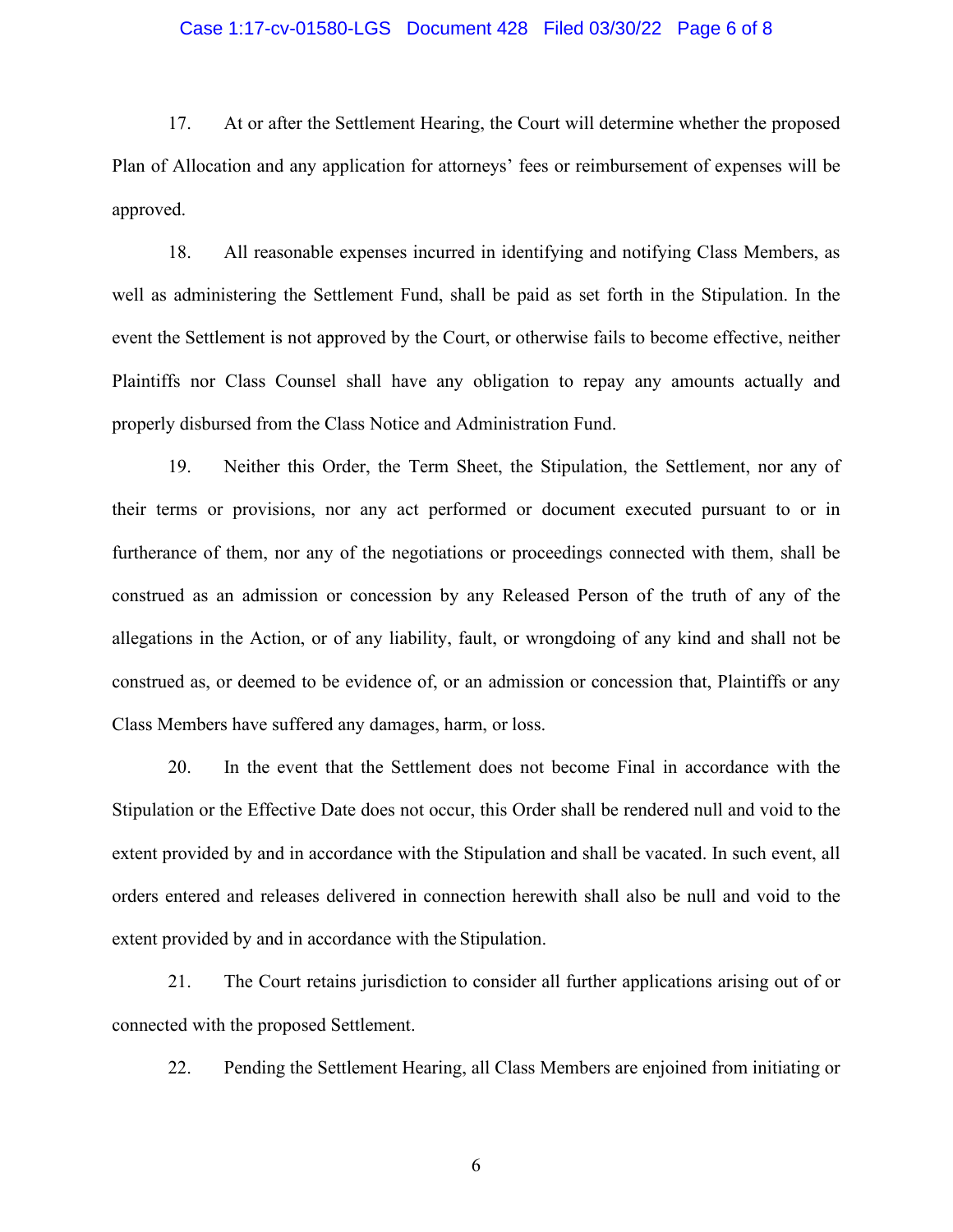#### Case 1:17-cv-01580-LGS Document 428 Filed 03/30/22 Page 6 of 8

17. At or after the Settlement Hearing, the Court will determine whether the proposed Plan of Allocation and any application for attorneys' fees or reimbursement of expenses will be approved.

18. All reasonable expenses incurred in identifying and notifying Class Members, as well as administering the Settlement Fund, shall be paid as set forth in the Stipulation. In the event the Settlement is not approved by the Court, or otherwise fails to become effective, neither Plaintiffs nor Class Counsel shall have any obligation to repay any amounts actually and properly disbursed from the Class Notice and Administration Fund.

19. Neither this Order, the Term Sheet, the Stipulation, the Settlement, nor any of their terms or provisions, nor any act performed or document executed pursuant to or in furtherance of them, nor any of the negotiations or proceedings connected with them, shall be construed as an admission or concession by any Released Person of the truth of any of the allegations in the Action, or of any liability, fault, or wrongdoing of any kind and shall not be construed as, or deemed to be evidence of, or an admission or concession that, Plaintiffs or any Class Members have suffered any damages, harm, or loss.

20. In the event that the Settlement does not become Final in accordance with the Stipulation or the Effective Date does not occur, this Order shall be rendered null and void to the extent provided by and in accordance with the Stipulation and shall be vacated. In such event, all orders entered and releases delivered in connection herewith shall also be null and void to the extent provided by and in accordance with the Stipulation.

21. The Court retains jurisdiction to consider all further applications arising out of or connected with the proposed Settlement.

22. Pending the Settlement Hearing, all Class Members are enjoined from initiating or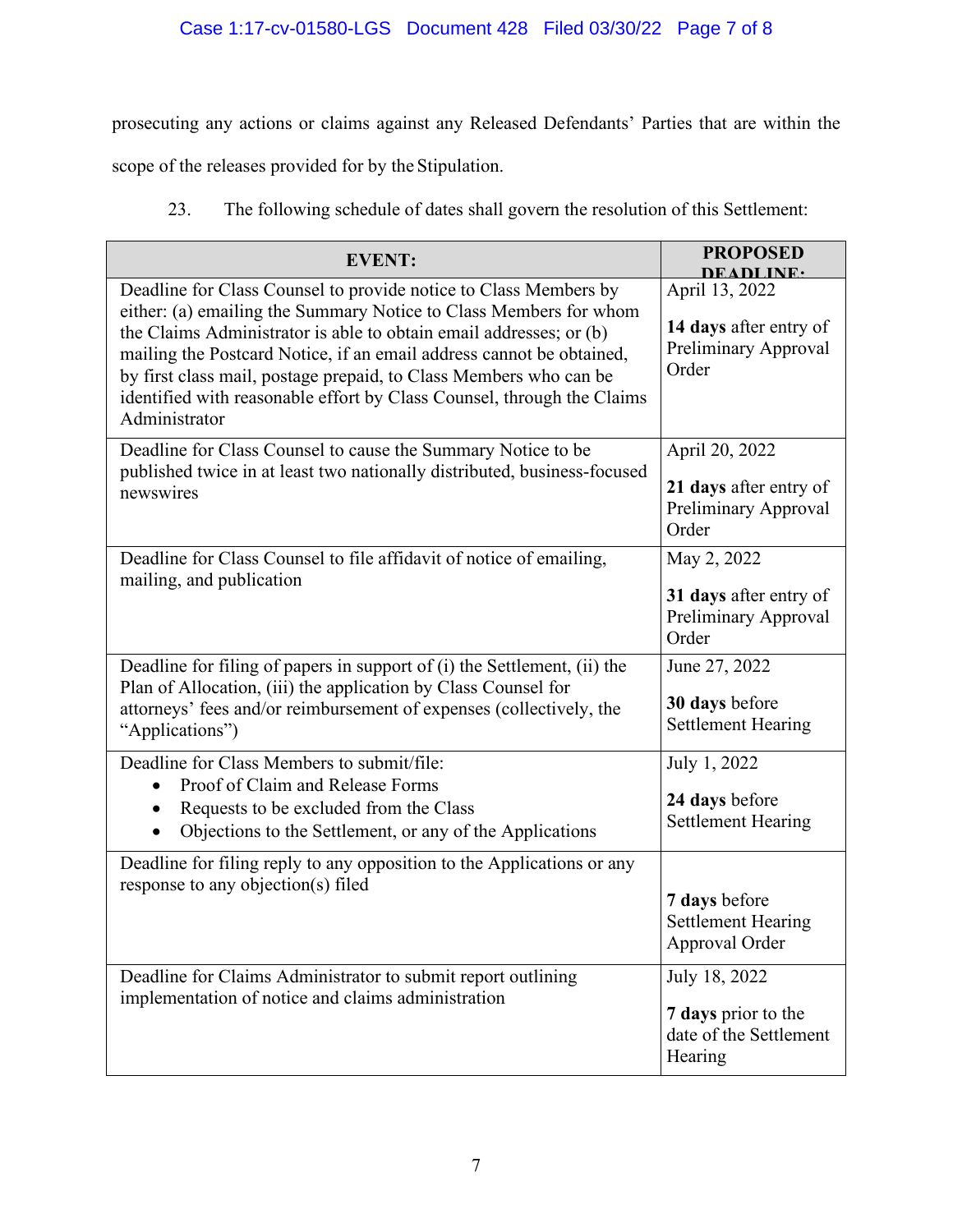prosecuting any actions or claims against any Released Defendants' Parties that are within the

scope of the releases provided for by the Stipulation.

23. The following schedule of dates shall govern the resolution of this Settlement:

| <b>EVENT:</b>                                                                                                                                                                                                                                                                                                                                                                                                                                       | <b>PROPOSED</b><br>DEADLINE.                                              |
|-----------------------------------------------------------------------------------------------------------------------------------------------------------------------------------------------------------------------------------------------------------------------------------------------------------------------------------------------------------------------------------------------------------------------------------------------------|---------------------------------------------------------------------------|
| Deadline for Class Counsel to provide notice to Class Members by<br>either: (a) emailing the Summary Notice to Class Members for whom<br>the Claims Administrator is able to obtain email addresses; or (b)<br>mailing the Postcard Notice, if an email address cannot be obtained,<br>by first class mail, postage prepaid, to Class Members who can be<br>identified with reasonable effort by Class Counsel, through the Claims<br>Administrator | April 13, 2022<br>14 days after entry of<br>Preliminary Approval<br>Order |
| Deadline for Class Counsel to cause the Summary Notice to be<br>published twice in at least two nationally distributed, business-focused<br>newswires                                                                                                                                                                                                                                                                                               | April 20, 2022<br>21 days after entry of<br>Preliminary Approval<br>Order |
| Deadline for Class Counsel to file affidavit of notice of emailing,<br>mailing, and publication                                                                                                                                                                                                                                                                                                                                                     | May 2, 2022<br>31 days after entry of<br>Preliminary Approval<br>Order    |
| Deadline for filing of papers in support of (i) the Settlement, (ii) the<br>Plan of Allocation, (iii) the application by Class Counsel for<br>attorneys' fees and/or reimbursement of expenses (collectively, the<br>"Applications")                                                                                                                                                                                                                | June 27, 2022<br>30 days before<br><b>Settlement Hearing</b>              |
| Deadline for Class Members to submit/file:<br>Proof of Claim and Release Forms<br>$\bullet$<br>Requests to be excluded from the Class<br>Objections to the Settlement, or any of the Applications                                                                                                                                                                                                                                                   | July 1, 2022<br>24 days before<br><b>Settlement Hearing</b>               |
| Deadline for filing reply to any opposition to the Applications or any<br>response to any objection(s) filed                                                                                                                                                                                                                                                                                                                                        | 7 days before<br><b>Settlement Hearing</b><br>Approval Order              |
| Deadline for Claims Administrator to submit report outlining<br>implementation of notice and claims administration                                                                                                                                                                                                                                                                                                                                  | July 18, 2022<br>7 days prior to the<br>date of the Settlement<br>Hearing |